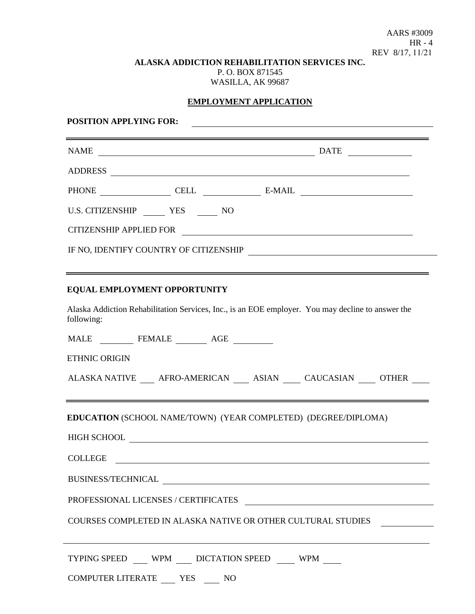AARS #3009 HR - 4 REV 8/17, 11/21

#### **ALASKA ADDICTION REHABILITATION SERVICES INC.** P. O. BOX 871545 WASILLA, AK 99687

# **EMPLOYMENT APPLICATION**

| <b>POSITION APPLYING FOR:</b>                                                                                   |  |
|-----------------------------------------------------------------------------------------------------------------|--|
|                                                                                                                 |  |
|                                                                                                                 |  |
| PHONE CELL CELL E-MAIL                                                                                          |  |
| U.S. CITIZENSHIP ________ YES _______ NO                                                                        |  |
|                                                                                                                 |  |
| IF NO, IDENTIFY COUNTRY OF CITIZENSHIP                                                                          |  |
| <u> 2000 - Andrea Andrewski, amerikansk politik (d. 1982)</u>                                                   |  |
| EQUAL EMPLOYMENT OPPORTUNITY                                                                                    |  |
| Alaska Addiction Rehabilitation Services, Inc., is an EOE employer. You may decline to answer the<br>following: |  |
|                                                                                                                 |  |
| <b>ETHNIC ORIGIN</b>                                                                                            |  |
| ALASKA NATIVE _____ AFRO-AMERICAN _____ ASIAN _____ CAUCASIAN _____ OTHER _____                                 |  |
| EDUCATION (SCHOOL NAME/TOWN) (YEAR COMPLETED) (DEGREE/DIPLOMA)                                                  |  |
|                                                                                                                 |  |
| <b>COLLEGE</b>                                                                                                  |  |
| BUSINESS/TECHNICAL                                                                                              |  |
| PROFESSIONAL LICENSES / CERTIFICATES                                                                            |  |
| COURSES COMPLETED IN ALASKA NATIVE OR OTHER CULTURAL STUDIES                                                    |  |
| TYPING SPEED WPM DICTATION SPEED WPM                                                                            |  |
| COMPUTER LITERATE _____ YES _____ NO                                                                            |  |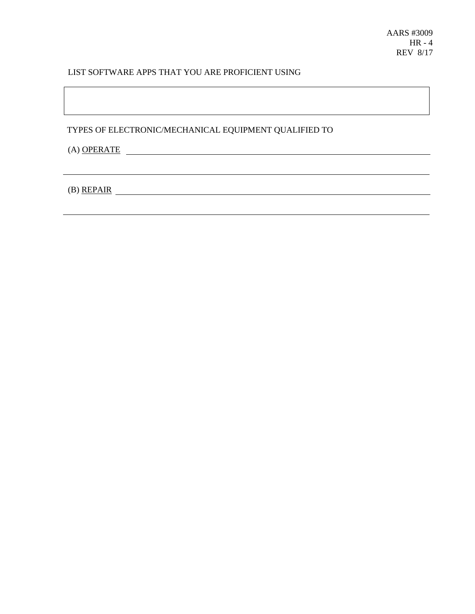## LIST SOFTWARE APPS THAT YOU ARE PROFICIENT USING

TYPES OF ELECTRONIC/MECHANICAL EQUIPMENT QUALIFIED TO

(A) OPERATE

(B) REPAIR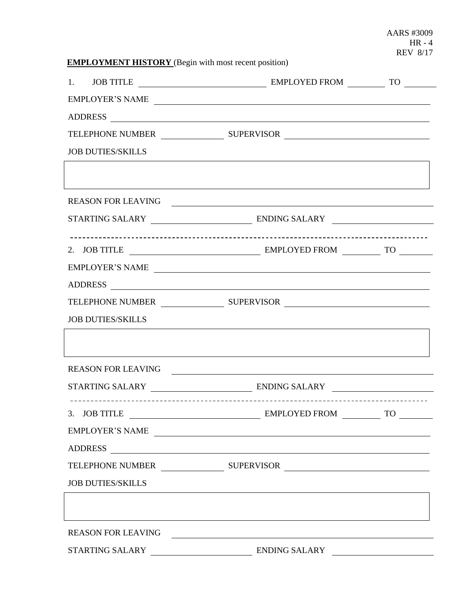AARS #3009 HR - 4 REV 8/17

|  | <b>EMPLOYMENT HISTORY</b> (Begin with most recent position) |
|--|-------------------------------------------------------------|
|--|-------------------------------------------------------------|

|                           | EMPLOYER'S NAME                                       |           |  |  |
|---------------------------|-------------------------------------------------------|-----------|--|--|
|                           |                                                       |           |  |  |
|                           |                                                       |           |  |  |
| <b>JOB DUTIES/SKILLS</b>  |                                                       |           |  |  |
|                           |                                                       |           |  |  |
|                           |                                                       |           |  |  |
|                           |                                                       |           |  |  |
|                           |                                                       |           |  |  |
|                           |                                                       |           |  |  |
|                           | EMPLOYER'S NAME                                       |           |  |  |
|                           |                                                       |           |  |  |
|                           |                                                       |           |  |  |
| <b>JOB DUTIES/SKILLS</b>  |                                                       |           |  |  |
|                           |                                                       |           |  |  |
|                           | REASON FOR LEAVING THE RESERVE AND REASON FOR LEAVING |           |  |  |
|                           |                                                       |           |  |  |
| 3. JOB TITLE              | EMPLOYED FROM                                         | <b>TO</b> |  |  |
|                           | EMPLOYER'S NAME                                       |           |  |  |
| <b>ADDRESS</b>            |                                                       |           |  |  |
|                           |                                                       |           |  |  |
| <b>JOB DUTIES/SKILLS</b>  |                                                       |           |  |  |
|                           |                                                       |           |  |  |
| <b>REASON FOR LEAVING</b> |                                                       |           |  |  |
| STARTING SALARY           | <b>ENDING SALARY</b>                                  |           |  |  |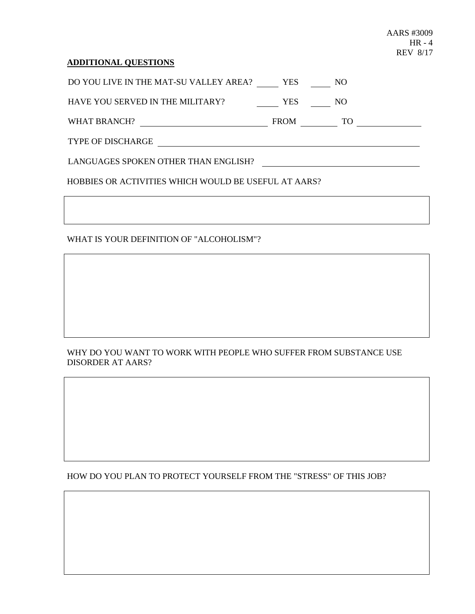#### **ADDITIONAL QUESTIONS**

DO YOU LIVE IN THE MAT-SU VALLEY AREA? YES NO

HAVE YOU SERVED IN THE MILITARY? YES NO

WHAT BRANCH? FROM TO

TYPE OF DISCHARGE

LANGUAGES SPOKEN OTHER THAN ENGLISH?

HOBBIES OR ACTIVITIES WHICH WOULD BE USEFUL AT AARS?

WHAT IS YOUR DEFINITION OF "ALCOHOLISM"?

## WHY DO YOU WANT TO WORK WITH PEOPLE WHO SUFFER FROM SUBSTANCE USE DISORDER AT AARS?

HOW DO YOU PLAN TO PROTECT YOURSELF FROM THE "STRESS" OF THIS JOB?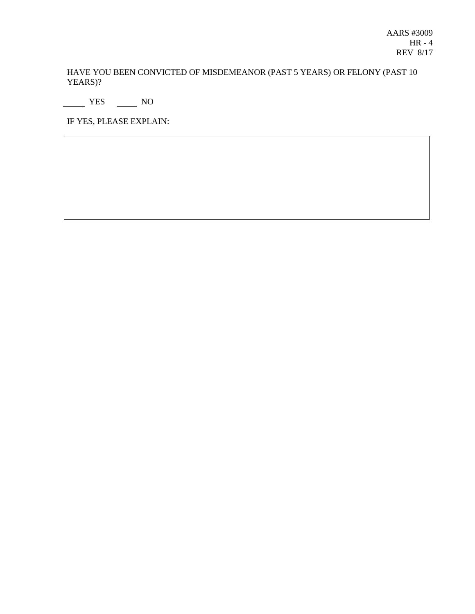HAVE YOU BEEN CONVICTED OF MISDEMEANOR (PAST 5 YEARS) OR FELONY (PAST 10 YEARS)?

NO<sub>N</sub> YES NO

IF YES, PLEASE EXPLAIN: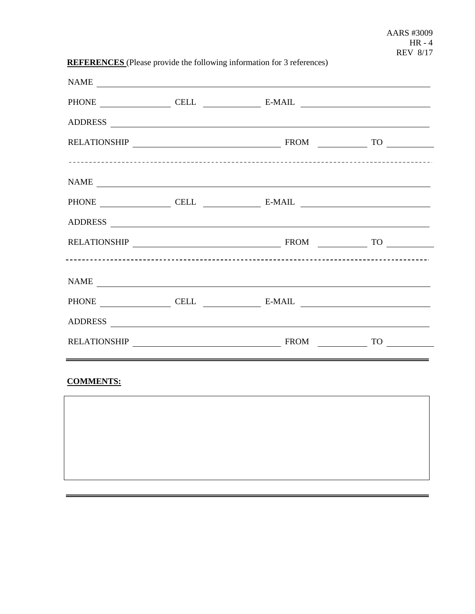# **REFERENCES** (Please provide the following information for 3 references)

|      | NAME                   |  |
|------|------------------------|--|
|      | PHONE CELL CELL E-MAIL |  |
|      |                        |  |
|      |                        |  |
|      |                        |  |
|      | NAME                   |  |
|      |                        |  |
|      |                        |  |
|      |                        |  |
|      |                        |  |
| NAME |                        |  |
|      | PHONE CELL CELL E-MAIL |  |
|      |                        |  |
|      |                        |  |

# **COMMENTS:**